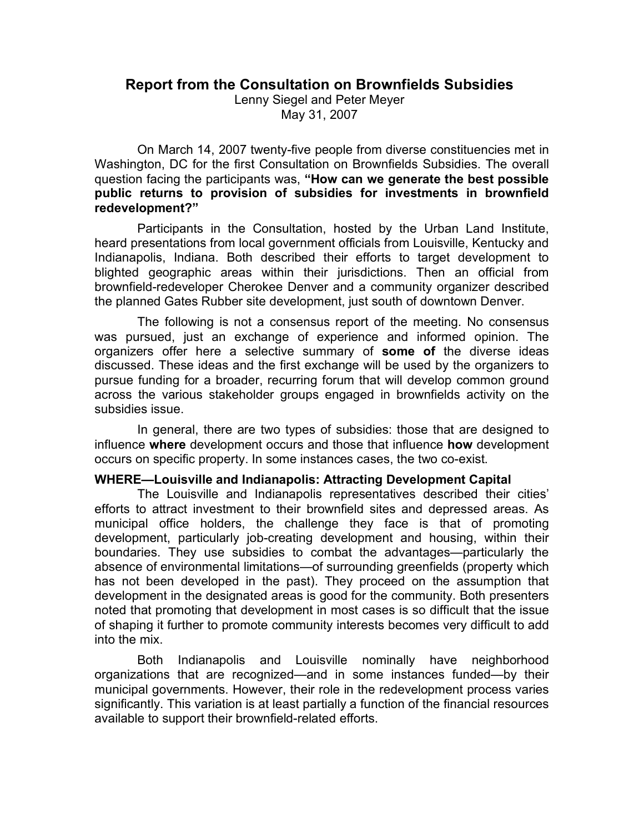# **Report from the Consultation on Brownfields Subsidies**

Lenny Siegel and Peter Meyer May 31, 2007

On March 14, 2007 twenty-five people from diverse constituencies met in Washington, DC for the first Consultation on Brownfields Subsidies. The overall question facing the participants was, **"How can we generate the best possible public returns to provision of subsidies for investments in brownfield redevelopment?"**

Participants in the Consultation, hosted by the Urban Land Institute, heard presentations from local government officials from Louisville, Kentucky and Indianapolis, Indiana. Both described their efforts to target development to blighted geographic areas within their jurisdictions. Then an official from brownfield-redeveloper Cherokee Denver and a community organizer described the planned Gates Rubber site development, just south of downtown Denver.

The following is not a consensus report of the meeting. No consensus was pursued, just an exchange of experience and informed opinion. The organizers offer here a selective summary of **some of** the diverse ideas discussed. These ideas and the first exchange will be used by the organizers to pursue funding for a broader, recurring forum that will develop common ground across the various stakeholder groups engaged in brownfields activity on the subsidies issue.

In general, there are two types of subsidies: those that are designed to influence **where** development occurs and those that influence **how** development occurs on specific property. In some instances cases, the two co-exist.

## **WHERE—Louisville and Indianapolis: Attracting Development Capital**

The Louisville and Indianapolis representatives described their cities' efforts to attract investment to their brownfield sites and depressed areas. As municipal office holders, the challenge they face is that of promoting development, particularly job-creating development and housing, within their boundaries. They use subsidies to combat the advantages—particularly the absence of environmental limitations—of surrounding greenfields (property which has not been developed in the past). They proceed on the assumption that development in the designated areas is good for the community. Both presenters noted that promoting that development in most cases is so difficult that the issue of shaping it further to promote community interests becomes very difficult to add into the mix.

Both Indianapolis and Louisville nominally have neighborhood organizations that are recognized—and in some instances funded—by their municipal governments. However, their role in the redevelopment process varies significantly. This variation is at least partially a function of the financial resources available to support their brownfield-related efforts.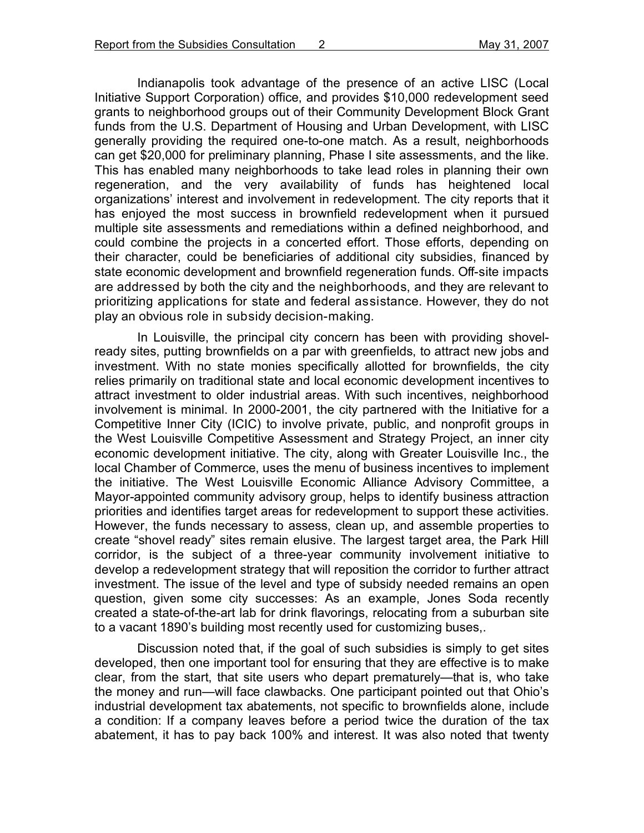Indianapolis took advantage of the presence of an active LISC (Local Initiative Support Corporation) office, and provides \$10,000 redevelopment seed grants to neighborhood groups out of their Community Development Block Grant funds from the U.S. Department of Housing and Urban Development, with LISC generally providing the required one-to-one match. As a result, neighborhoods can get \$20,000 for preliminary planning, Phase I site assessments, and the like. This has enabled many neighborhoods to take lead roles in planning their own regeneration, and the very availability of funds has heightened local organizations' interest and involvement in redevelopment. The city reports that it has enjoyed the most success in brownfield redevelopment when it pursued multiple site assessments and remediations within a defined neighborhood, and could combine the projects in a concerted effort. Those efforts, depending on their character, could be beneficiaries of additional city subsidies, financed by state economic development and brownfield regeneration funds. Off-site impacts are addressed by both the city and the neighborhoods, and they are relevant to prioritizing applications for state and federal assistance. However, they do not play an obvious role in subsidy decision-making.

In Louisville, the principal city concern has been with providing shovelready sites, putting brownfields on a par with greenfields, to attract new jobs and investment. With no state monies specifically allotted for brownfields, the city relies primarily on traditional state and local economic development incentives to attract investment to older industrial areas. With such incentives, neighborhood involvement is minimal. In 2000-2001, the city partnered with the Initiative for a Competitive Inner City (ICIC) to involve private, public, and nonprofit groups in the West Louisville Competitive Assessment and Strategy Project, an inner city economic development initiative. The city, along with Greater Louisville Inc., the local Chamber of Commerce, uses the menu of business incentives to implement the initiative. The West Louisville Economic Alliance Advisory Committee, a Mayor-appointed community advisory group, helps to identify business attraction priorities and identifies target areas for redevelopment to support these activities. However, the funds necessary to assess, clean up, and assemble properties to create "shovel ready" sites remain elusive. The largest target area, the Park Hill corridor, is the subject of a three-year community involvement initiative to develop a redevelopment strategy that will reposition the corridor to further attract investment. The issue of the level and type of subsidy needed remains an open question, given some city successes: As an example, Jones Soda recently created a state-of-the-art lab for drink flavorings, relocating from a suburban site to a vacant 1890's building most recently used for customizing buses,.

Discussion noted that, if the goal of such subsidies is simply to get sites developed, then one important tool for ensuring that they are effective is to make clear, from the start, that site users who depart prematurely—that is, who take the money and run—will face clawbacks. One participant pointed out that Ohio's industrial development tax abatements, not specific to brownfields alone, include a condition: If a company leaves before a period twice the duration of the tax abatement, it has to pay back 100% and interest. It was also noted that twenty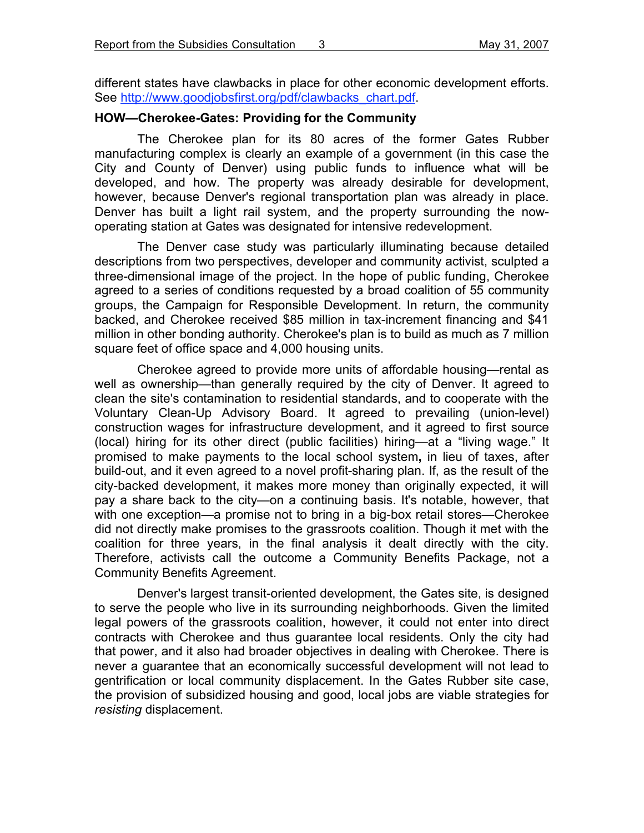different states have clawbacks in place for other economic development efforts. See http://www.goodjobsfirst.org/pdf/clawbacks\_chart.pdf.

## **HOW—Cherokee-Gates: Providing for the Community**

The Cherokee plan for its 80 acres of the former Gates Rubber manufacturing complex is clearly an example of a government (in this case the City and County of Denver) using public funds to influence what will be developed, and how. The property was already desirable for development, however, because Denver's regional transportation plan was already in place. Denver has built a light rail system, and the property surrounding the nowoperating station at Gates was designated for intensive redevelopment.

The Denver case study was particularly illuminating because detailed descriptions from two perspectives, developer and community activist, sculpted a three-dimensional image of the project. In the hope of public funding, Cherokee agreed to a series of conditions requested by a broad coalition of 55 community groups, the Campaign for Responsible Development. In return, the community backed, and Cherokee received \$85 million in tax-increment financing and \$41 million in other bonding authority. Cherokee's plan is to build as much as 7 million square feet of office space and 4,000 housing units.

Cherokee agreed to provide more units of affordable housing—rental as well as ownership—than generally required by the city of Denver. It agreed to clean the site's contamination to residential standards, and to cooperate with the Voluntary Clean-Up Advisory Board. It agreed to prevailing (union-level) construction wages for infrastructure development, and it agreed to first source (local) hiring for its other direct (public facilities) hiring—at a "living wage." It promised to make payments to the local school system**,** in lieu of taxes, after build-out, and it even agreed to a novel profit-sharing plan. If, as the result of the city-backed development, it makes more money than originally expected, it will pay a share back to the city—on a continuing basis. It's notable, however, that with one exception—a promise not to bring in a big-box retail stores—Cherokee did not directly make promises to the grassroots coalition. Though it met with the coalition for three years, in the final analysis it dealt directly with the city. Therefore, activists call the outcome a Community Benefits Package, not a Community Benefits Agreement.

Denver's largest transit-oriented development, the Gates site, is designed to serve the people who live in its surrounding neighborhoods. Given the limited legal powers of the grassroots coalition, however, it could not enter into direct contracts with Cherokee and thus guarantee local residents. Only the city had that power, and it also had broader objectives in dealing with Cherokee. There is never a guarantee that an economically successful development will not lead to gentrification or local community displacement. In the Gates Rubber site case, the provision of subsidized housing and good, local jobs are viable strategies for *resisting* displacement.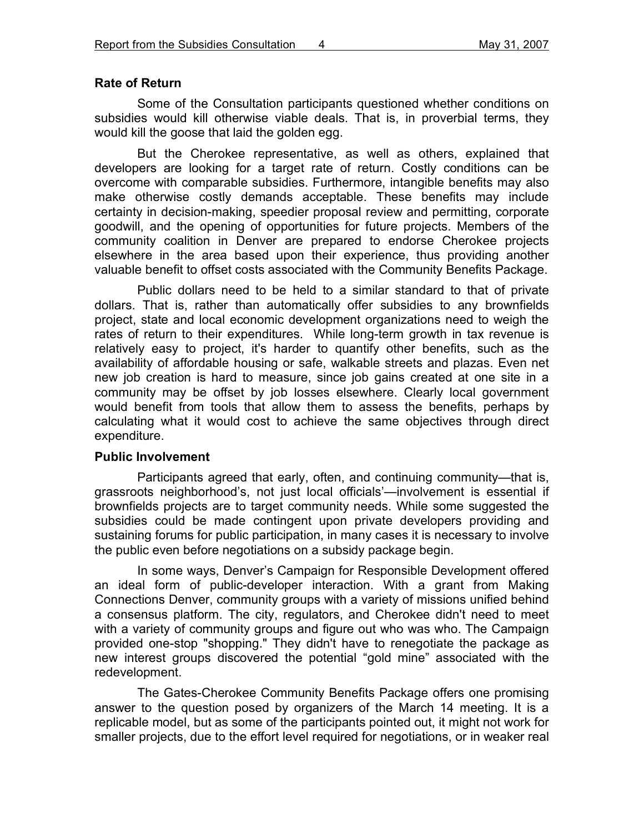## **Rate of Return**

Some of the Consultation participants questioned whether conditions on subsidies would kill otherwise viable deals. That is, in proverbial terms, they would kill the goose that laid the golden egg.

But the Cherokee representative, as well as others, explained that developers are looking for a target rate of return. Costly conditions can be overcome with comparable subsidies. Furthermore, intangible benefits may also make otherwise costly demands acceptable. These benefits may include certainty in decision-making, speedier proposal review and permitting, corporate goodwill, and the opening of opportunities for future projects. Members of the community coalition in Denver are prepared to endorse Cherokee projects elsewhere in the area based upon their experience, thus providing another valuable benefit to offset costs associated with the Community Benefits Package.

Public dollars need to be held to a similar standard to that of private dollars. That is, rather than automatically offer subsidies to any brownfields project, state and local economic development organizations need to weigh the rates of return to their expenditures. While long-term growth in tax revenue is relatively easy to project, it's harder to quantify other benefits, such as the availability of affordable housing or safe, walkable streets and plazas. Even net new job creation is hard to measure, since job gains created at one site in a community may be offset by job losses elsewhere. Clearly local government would benefit from tools that allow them to assess the benefits, perhaps by calculating what it would cost to achieve the same objectives through direct expenditure.

### **Public Involvement**

Participants agreed that early, often, and continuing community—that is, grassroots neighborhood's, not just local officials'—involvement is essential if brownfields projects are to target community needs. While some suggested the subsidies could be made contingent upon private developers providing and sustaining forums for public participation, in many cases it is necessary to involve the public even before negotiations on a subsidy package begin.

In some ways, Denver's Campaign for Responsible Development offered an ideal form of public-developer interaction. With a grant from Making Connections Denver, community groups with a variety of missions unified behind a consensus platform. The city, regulators, and Cherokee didn't need to meet with a variety of community groups and figure out who was who. The Campaign provided one-stop "shopping." They didn't have to renegotiate the package as new interest groups discovered the potential "gold mine" associated with the redevelopment.

The Gates-Cherokee Community Benefits Package offers one promising answer to the question posed by organizers of the March 14 meeting. It is a replicable model, but as some of the participants pointed out, it might not work for smaller projects, due to the effort level required for negotiations, or in weaker real